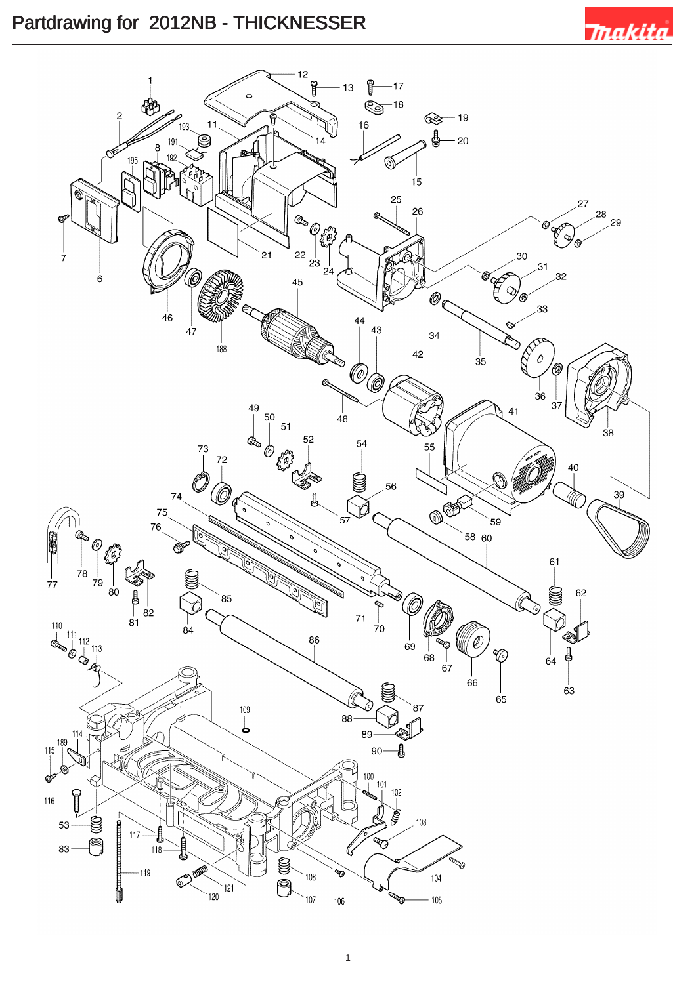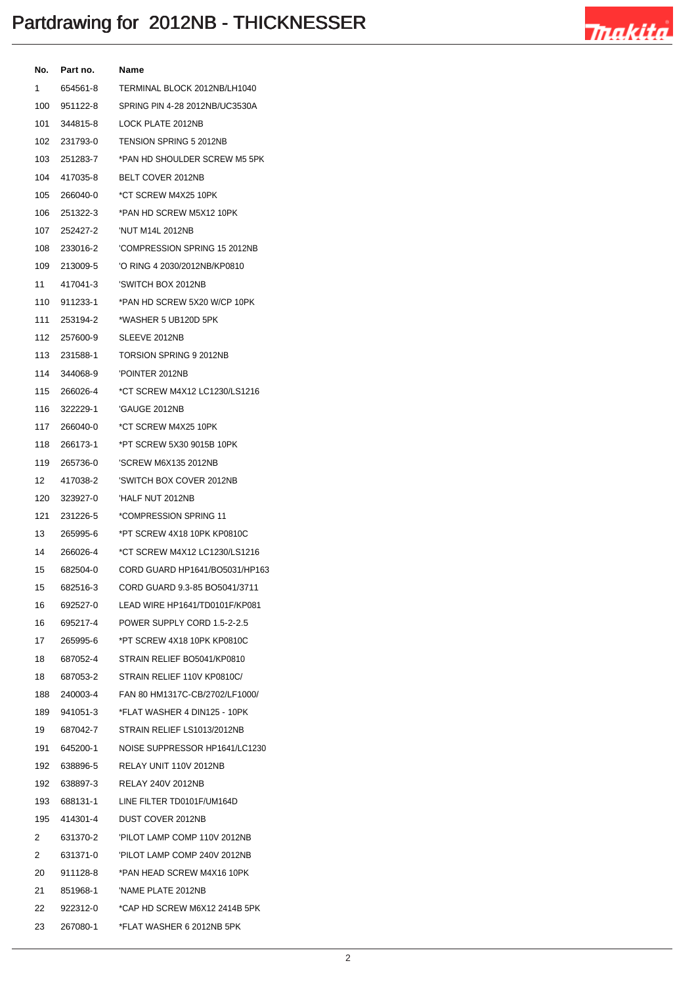

| No.  | Part no.     | Name                                    |
|------|--------------|-----------------------------------------|
| 1    | 654561-8     | TERMINAL BLOCK 2012NB/LH1040            |
| 100  | 951122-8     | SPRING PIN 4-28 2012NB/UC3530A          |
| 101  | 344815-8     | LOCK PLATE 2012NB                       |
| 102  | 231793-0     | TENSION SPRING 5 2012NB                 |
| 103  | 251283-7     | *PAN HD SHOULDER SCREW M5 5PK           |
| 104  | 417035-8     | BELT COVER 2012NB                       |
| 105  | 266040-0     | *CT SCREW M4X25 10PK                    |
| 106  | 251322-3     | *PAN HD SCREW M5X12 10PK                |
| 107  | 252427-2     | 'NUT M14L 2012NB                        |
| 108  | 233016-2     | 'COMPRESSION SPRING 15 2012NB           |
| 109  | 213009-5     | 'O RING 4 2030/2012NB/KP0810            |
| 11   | 417041-3     | 'SWITCH BOX 2012NB                      |
| 110  | 911233-1     | *PAN HD SCREW 5X20 W/CP 10PK            |
| 111  | 253194-2     | *WASHER 5 UB120D 5PK                    |
| 112  | 257600-9     | SLEEVE 2012NB                           |
| 113  | 231588-1     | TORSION SPRING 9 2012NB                 |
| 114  | 344068-9     | 'POINTER 2012NB                         |
| 115  | 266026-4     | *CT SCREW M4X12 LC1230/LS1216           |
| 116  | 322229-1     | 'GAUGE 2012NB                           |
| 117  | 266040-0     | *CT SCREW M4X25 10PK                    |
| 118  | 266173-1     | *PT SCREW 5X30 9015B 10PK               |
| 119  | 265736-0     | 'SCREW M6X135 2012NB                    |
| 12   | 417038-2     | 'SWITCH BOX COVER 2012NB                |
| 120  | 323927-0     | 'HALF NUT 2012NB                        |
| 121  | 231226-5     | *COMPRESSION SPRING 11                  |
| 13   | 265995-6     | *PT SCREW 4X18 10PK KP0810C             |
| 14   | 266026-4     | *CT SCREW M4X12 LC1230/LS1216           |
| 15   | 682504-0     | CORD GUARD HP1641/BO5031/HP163          |
| 15   | 682516-3     | CORD GUARD 9.3-85 BO5041/3711           |
| 16   | 692527-0     | LEAD WIRE HP1641/TD0101F/KP081          |
|      | 16  695217-4 | POWER SUPPLY CORD 1.5-2-2.5             |
| 17   | 265995-6     | *PT SCREW 4X18 10PK KP0810C             |
|      |              | 18 687052-4 STRAIN RELIEF BO5041/KP0810 |
| 18   | 687053-2     | STRAIN RELIEF 110V KP0810C/             |
| 188  | 240003-4     | FAN 80 HM1317C-CB/2702/LF1000/          |
| 189  | 941051-3     | *FLAT WASHER 4 DIN125 - 10PK            |
| 19   | 687042-7     | STRAIN RELIEF LS1013/2012NB             |
| 191  | 645200-1     | NOISE SUPPRESSOR HP1641/LC1230          |
| 192  | 638896-5     | RELAY UNIT 110V 2012NB                  |
| 192  | 638897-3     | RELAY 240V 2012NB                       |
|      | 193 688131-1 | LINE FILTER TD0101F/UM164D              |
|      | 195 414301-4 | DUST COVER 2012NB                       |
| 2    | 631370-2     | 'PILOT LAMP COMP 110V 2012NB            |
| 2    | 631371-0     | 'PILOT LAMP COMP 240V 2012NB            |
| 20 - | 911128-8     | *PAN HEAD SCREW M4X16 10PK              |
|      | 21 851968-1  | 'NAME PLATE 2012NB                      |
| 22   | 922312-0     | *CAP HD SCREW M6X12 2414B 5PK           |
| 23   | 267080-1     | *FLAT WASHER 6 2012NB 5PK               |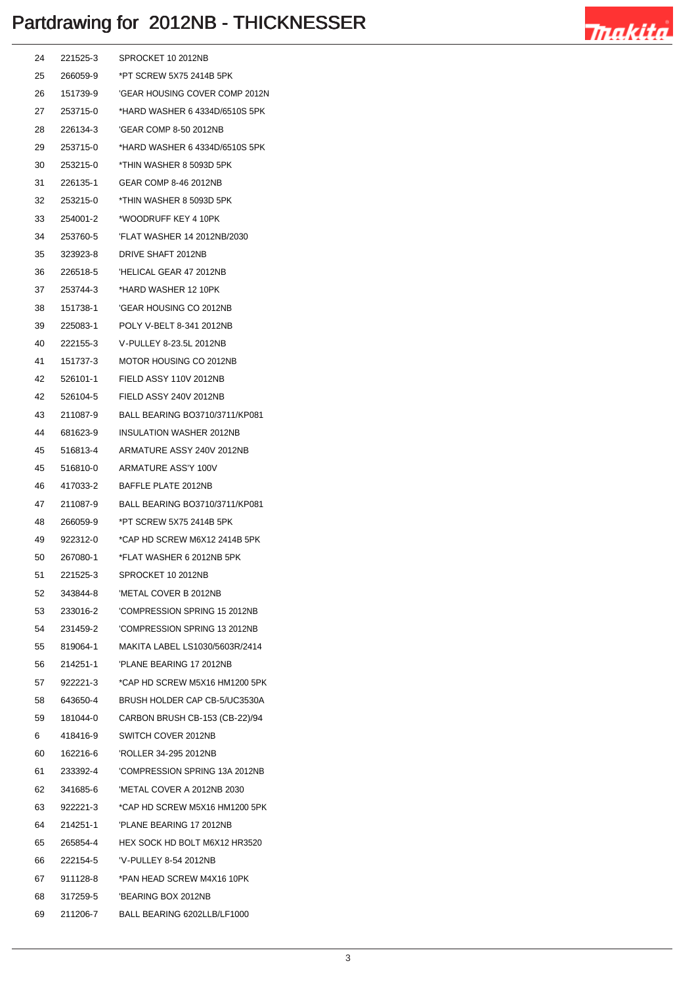

| 24   | 221525-3    | SPROCKET 10 2012NB                         |
|------|-------------|--------------------------------------------|
| 25   | 266059-9    | *PT SCREW 5X75 2414B 5PK                   |
| 26   | 151739-9    | 'GEAR HOUSING COVER COMP 2012N             |
| 27   | 253715-0    | *HARD WASHER 6 4334D/6510S 5PK             |
| 28   | 226134-3    | 'GEAR COMP 8-50 2012NB                     |
| 29   | 253715-0    | *HARD WASHER 6 4334D/6510S 5PK             |
| 30   | 253215-0    | *THIN WASHER 8 5093D 5PK                   |
| 31   | 226135-1    | GEAR COMP 8-46 2012NB                      |
| 32   | 253215-0    | *THIN WASHER 8 5093D 5PK                   |
| 33   | 254001-2    | *WOODRUFF KEY 4 10PK                       |
| 34   | 253760-5    | 'FLAT WASHER 14 2012NB/2030                |
| 35   | 323923-8    | DRIVE SHAFT 2012NB                         |
| 36   | 226518-5    | 'HELICAL GEAR 47 2012NB                    |
| 37   | 253744-3    | *HARD WASHER 12 10PK                       |
| 38   | 151738-1    | 'GEAR HOUSING CO 2012NB                    |
| 39   | 225083-1    | POLY V-BELT 8-341 2012NB                   |
| 40   | 222155-3    | V-PULLEY 8-23.5L 2012NB                    |
| 41   | 151737-3    | MOTOR HOUSING CO 2012NB                    |
| 42   | 526101-1    | FIELD ASSY 110V 2012NB                     |
| 42   | 526104-5    | FIELD ASSY 240V 2012NB                     |
| 43   | 211087-9    | BALL BEARING BO3710/3711/KP081             |
| 44   | 681623-9    | <b>INSULATION WASHER 2012NB</b>            |
| 45   | 516813-4    | ARMATURE ASSY 240V 2012NB                  |
| 45   | 516810-0    | ARMATURE ASS'Y 100V                        |
| 46   | 417033-2    | BAFFLE PLATE 2012NB                        |
| 47   | 211087-9    | BALL BEARING BO3710/3711/KP081             |
| 48   | 266059-9    | *PT SCREW 5X75 2414B 5PK                   |
| 49   | 922312-0    | *CAP HD SCREW M6X12 2414B 5PK              |
| 50   | 267080-1    | *FLAT WASHER 6 2012NB 5PK                  |
| 51   | 221525-3    | SPROCKET 10 2012NB                         |
| 52   | 343844-8    | 'METAL COVER B 2012NB                      |
|      |             |                                            |
|      |             |                                            |
|      |             | 55 819064-1 MAKITA LABEL LS1030/5603R/2414 |
|      | 56 214251-1 | 'PLANE BEARING 17 2012NB                   |
|      |             | 57 922221-3 *CAP HD SCREW M5X16 HM1200 5PK |
| 58   |             | 643650-4 BRUSH HOLDER CAP CB-5/UC3530A     |
|      |             | 59 181044-0 CARBON BRUSH CB-153 (CB-22)/94 |
| 6    | 418416-9    | SWITCH COVER 2012NB                        |
| 60 — |             |                                            |
| 61   | 233392-4    | 'COMPRESSION SPRING 13A 2012NB             |
| 62 — |             | 341685-6 METAL COVER A 2012NB 2030         |
| 63   | 922221-3    | *CAP HD SCREW M5X16 HM1200 5PK             |
| 64 — |             | 214251-1 PLANE BEARING 17 2012NB           |
| 65   |             | 265854-4 HEX SOCK HD BOLT M6X12 HR3520     |
| 66 — | 222154-5    | 'V-PULLEY 8-54 2012NB                      |
|      |             | 67 911128-8 *PAN HEAD SCREW M4X16 10PK     |
| 68   | 317259-5    | 'BEARING BOX 2012NB                        |
| 69   |             | 211206-7 BALL BEARING 6202LLB/LF1000       |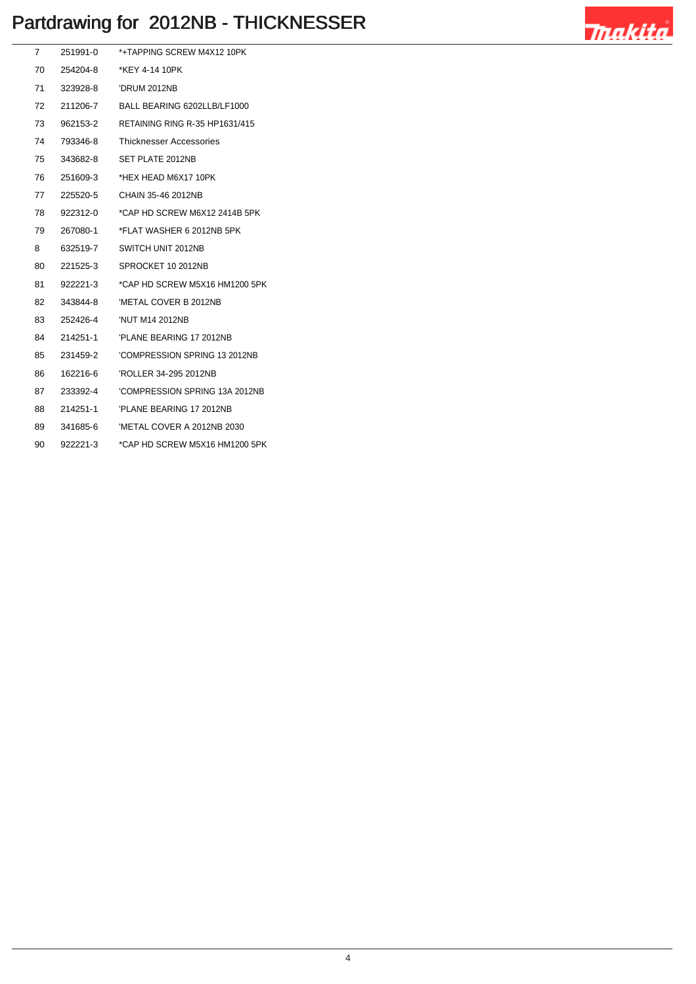

| 7  | 251991-0 | *+TAPPING SCREW M4X12 10PK            |
|----|----------|---------------------------------------|
| 70 | 254204-8 | *KFY 4-14 10PK                        |
| 71 | 323928-8 | 'DRUM 2012NB                          |
| 72 | 211206-7 | BALL BEARING 6202LLB/LF1000           |
| 73 | 962153-2 | <b>RETAINING RING R-35 HP1631/415</b> |
| 74 | 793346-8 | <b>Thicknesser Accessories</b>        |
| 75 | 343682-8 | SET PLATE 2012NB                      |
| 76 | 251609-3 | *HEX HEAD M6X17 10PK                  |
| 77 | 225520-5 | CHAIN 35-46 2012NB                    |
| 78 | 922312-0 | *CAP HD SCREW M6X12 2414B 5PK         |
| 79 | 267080-1 | *FLAT WASHER 6 2012NB 5PK             |
| 8  | 632519-7 | SWITCH UNIT 2012NB                    |
| 80 | 221525-3 | SPROCKET 10 2012NB                    |
| 81 | 922221-3 | *CAP HD SCREW M5X16 HM1200 5PK        |
| 82 | 343844-8 | 'METAL COVER B 2012NB                 |
| 83 | 252426-4 | 'NUT M14 2012NB                       |
| 84 | 214251-1 | 'PLANE BEARING 17 2012NB              |
| 85 | 231459-2 | 'COMPRESSION SPRING 13 2012NB         |
| 86 | 162216-6 | 'ROLLER 34-295 2012NB                 |
| 87 | 233392-4 | 'COMPRESSION SPRING 13A 2012NB        |
| 88 | 214251-1 | 'PLANE BEARING 17 2012NB              |
| 89 | 341685-6 | 'METAL COVER A 2012NB 2030            |
| 90 | 922221-3 | *CAP HD SCREW M5X16 HM1200 5PK        |
|    |          |                                       |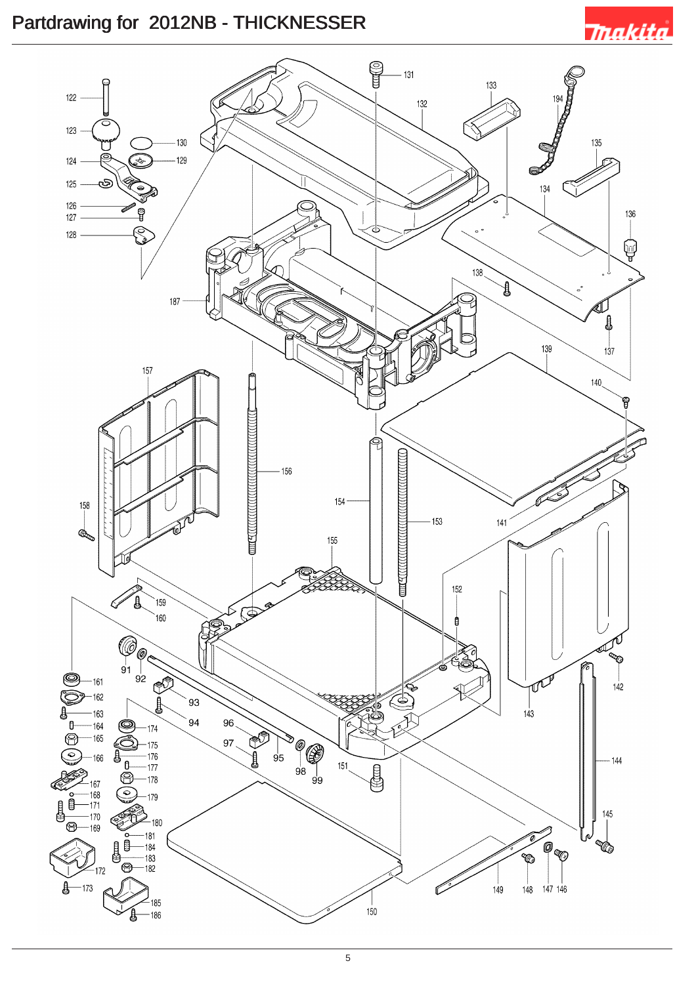# **Trakita**

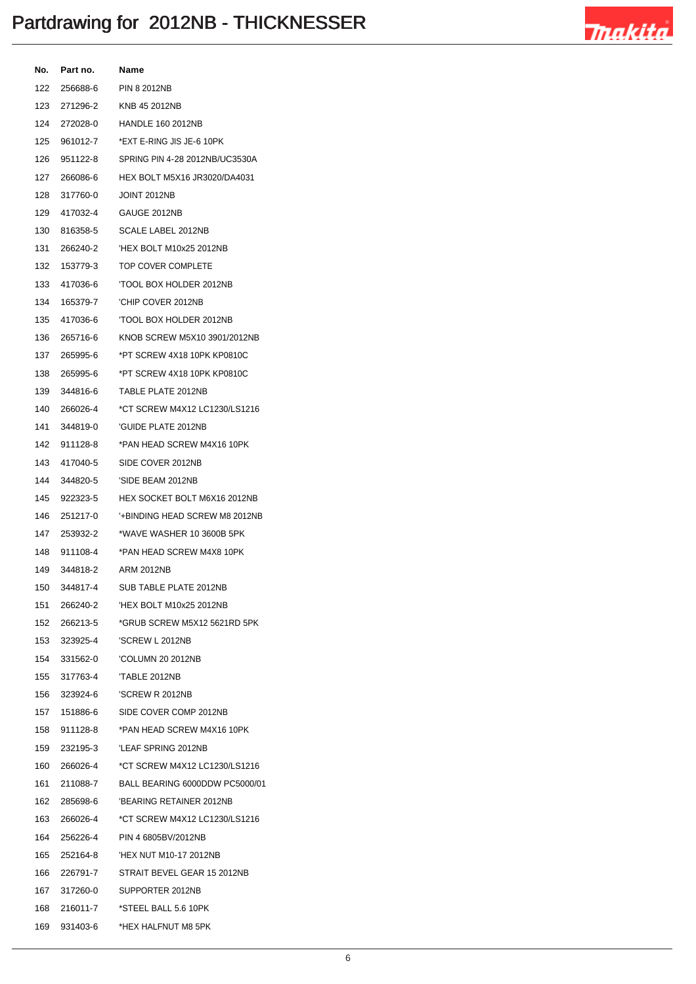

| No. | Part no.     | Name                                        |
|-----|--------------|---------------------------------------------|
|     | 122 256688-6 | <b>PIN 8 2012NB</b>                         |
| 123 | 271296-2     | KNB 45 2012NB                               |
| 124 | 272028-0     | <b>HANDLE 160 2012NB</b>                    |
| 125 | 961012-7     | *EXT E-RING JIS JE-6 10PK                   |
| 126 | 951122-8     | SPRING PIN 4-28 2012NB/UC3530A              |
| 127 | 266086-6     | HEX BOLT M5X16 JR3020/DA4031                |
| 128 | 317760-0     | <b>JOINT 2012NB</b>                         |
|     | 129 417032-4 | GAUGE 2012NB                                |
| 130 | 816358-5     | SCALE LABEL 2012NB                          |
| 131 | 266240-2     | 'HEX BOLT M10x25 2012NB                     |
| 132 | 153779-3     | TOP COVER COMPLETE                          |
|     | 133 417036-6 | 'TOOL BOX HOLDER 2012NB                     |
| 134 | 165379-7     | 'CHIP COVER 2012NB                          |
| 135 | 417036-6     | TOOL BOX HOLDER 2012NB                      |
| 136 | 265716-6     | KNOB SCREW M5X10 3901/2012NB                |
| 137 | 265995-6     | *PT SCREW 4X18 10PK KP0810C                 |
| 138 | 265995-6     | *PT SCREW 4X18 10PK KP0810C                 |
| 139 | 344816-6     | TABLE PLATE 2012NB                          |
| 140 | 266026-4     | *CT SCREW M4X12 LC1230/LS1216               |
| 141 | 344819-0     | 'GUIDE PLATE 2012NB                         |
| 142 | 911128-8     | *PAN HEAD SCREW M4X16 10PK                  |
| 143 | 417040-5     | SIDE COVER 2012NB                           |
| 144 | 344820-5     | 'SIDE BEAM 2012NB                           |
| 145 | 922323-5     | HEX SOCKET BOLT M6X16 2012NB                |
| 146 | 251217-0     | '+BINDING HEAD SCREW M8 2012NB              |
| 147 | 253932-2     | *WAVE WASHER 10 3600B 5PK                   |
| 148 | 911108-4     | *PAN HEAD SCREW M4X8 10PK                   |
| 149 | 344818-2     | ARM 2012NB                                  |
| 150 | 344817-4     | SUB TABLE PLATE 2012NB                      |
|     |              |                                             |
|     | 152 266213-5 | *GRUB SCREW M5X12 5621RD 5PK                |
|     |              | 153 323925-4 'SCREW L 2012NB                |
|     | 154 331562-0 | 'COLUMN 20 2012NB                           |
|     |              |                                             |
|     | 156 323924-6 | 'SCREW R 2012NB                             |
|     |              | 157 151886-6 SIDE COVER COMP 2012NB         |
|     | 158 911128-8 | *PAN HEAD SCREW M4X16 10PK                  |
| 159 | 232195-3     | 'LEAF SPRING 2012NB                         |
|     | 160 266026-4 | *CT SCREW M4X12 LC1230/LS1216               |
|     |              | 161 211088-7 BALL BEARING 6000DDW PC5000/01 |
| 162 |              | 285698-6 BEARING RETAINER 2012NB            |
| 163 | 266026-4     | *CT SCREW M4X12 LC1230/LS1216               |
|     |              | 164 256226-4 PIN 4 6805BV/2012NB            |
|     | 165 252164-8 | 'HEX NUT M10-17 2012NB                      |
|     |              | 166 226791-7 STRAIT BEVEL GEAR 15 2012NB    |
|     | 167 317260-0 | SUPPORTER 2012NB                            |
|     | 168 216011-7 | *STEEL BALL 5.6 10PK                        |
|     | 169 931403-6 | *HEX HALFNUT M8 5PK                         |